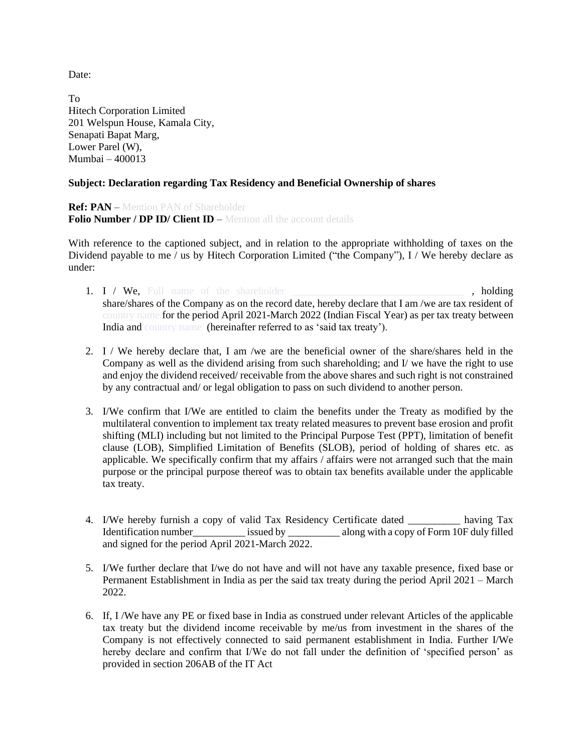Date:

To Hitech Corporation Limited 201 Welspun House, Kamala City, Senapati Bapat Marg, Lower Parel (W), Mumbai – 400013

## **Subject: Declaration regarding Tax Residency and Beneficial Ownership of shares**

**Ref: PAN** – Mention PAN of Shareholder **Folio Number / DP ID/ Client ID** – Mention all the account details

With reference to the captioned subject, and in relation to the appropriate withholding of taxes on the Dividend payable to me / us by Hitech Corporation Limited ("the Company"), I / We hereby declare as under:

- 1. I / We, Full name of the shareholder **contained a set of the shareholder**  $\blacksquare$ , holding share/shares of the Company as on the record date, hereby declare that I am /we are tax resident of country name for the period April 2021-March 2022 (Indian Fiscal Year) as per tax treaty between India and country name (hereinafter referred to as 'said tax treaty').
- 2. I / We hereby declare that, I am /we are the beneficial owner of the share/shares held in the Company as well as the dividend arising from such shareholding; and  $I$  we have the right to use and enjoy the dividend received/ receivable from the above shares and such right is not constrained by any contractual and/ or legal obligation to pass on such dividend to another person.
- 3. I/We confirm that I/We are entitled to claim the benefits under the Treaty as modified by the multilateral convention to implement tax treaty related measures to prevent base erosion and profit shifting (MLI) including but not limited to the Principal Purpose Test (PPT), limitation of benefit clause (LOB), Simplified Limitation of Benefits (SLOB), period of holding of shares etc. as applicable. We specifically confirm that my affairs / affairs were not arranged such that the main purpose or the principal purpose thereof was to obtain tax benefits available under the applicable tax treaty.
- 4. I/We hereby furnish a copy of valid Tax Residency Certificate dated \_\_\_\_\_\_\_\_\_\_ having Tax Identification number issued by along with a copy of Form 10F duly filled and signed for the period April 2021-March 2022.
- 5. I/We further declare that I/we do not have and will not have any taxable presence, fixed base or Permanent Establishment in India as per the said tax treaty during the period April 2021 – March 2022.
- 6. If, I /We have any PE or fixed base in India as construed under relevant Articles of the applicable tax treaty but the dividend income receivable by me/us from investment in the shares of the Company is not effectively connected to said permanent establishment in India. Further I/We hereby declare and confirm that I/We do not fall under the definition of 'specified person' as provided in section 206AB of the IT Act